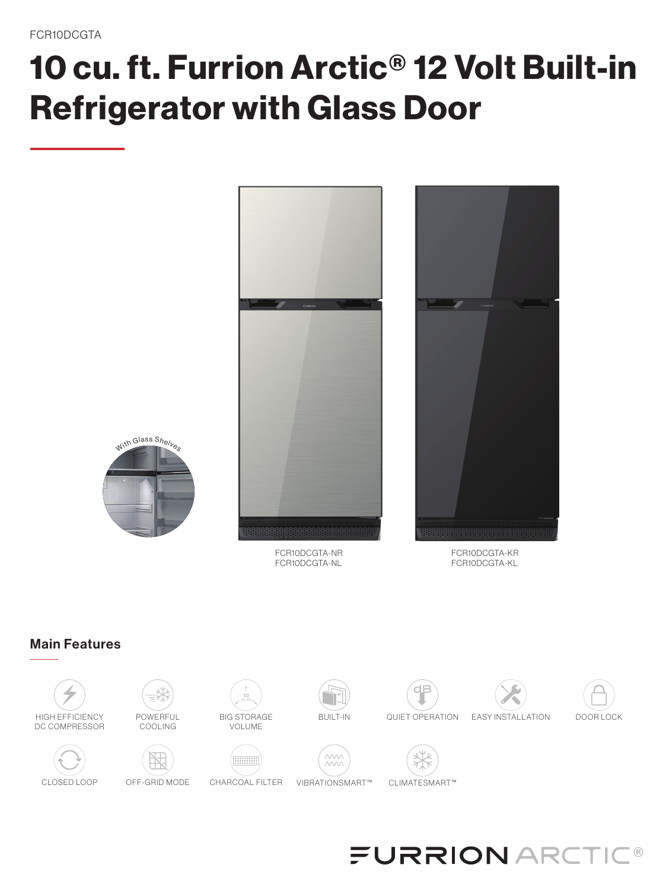# 10 cu. ft. Furrion Arctic® 12 Volt Built-in Refrigerator with Glass Door



## Main Features



#### **FURRION ARCT**  $^\circledR$